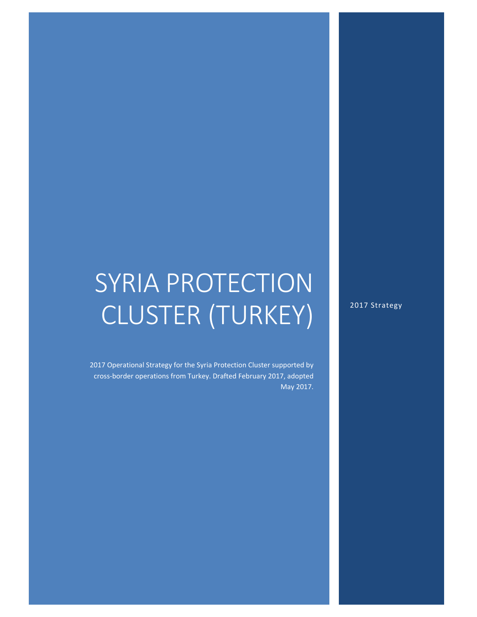# SYRIA PROTECTION CLUSTER (TURKEY)

2017 Operational Strategy for the Syria Protection Cluster supported by cross‐border operations from Turkey. Drafted February 2017, adopted May 2017. 2017 Strategy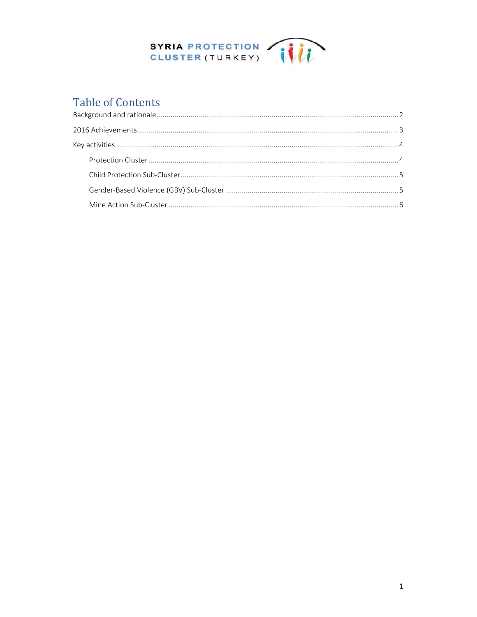

### **Table of Contents**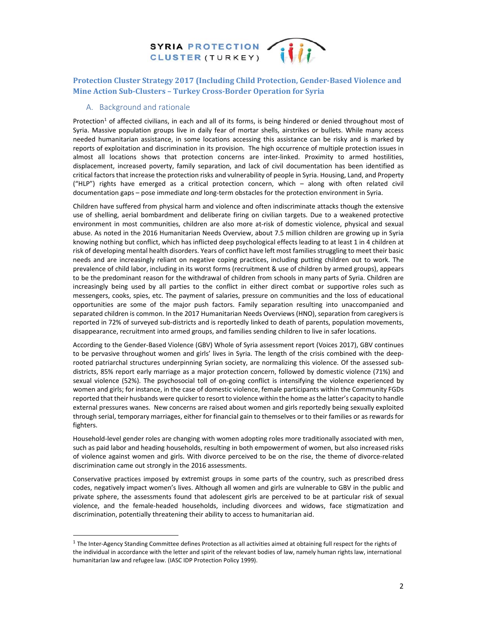### SYRIA PROTECTION / SYRIA PROTECTION



**Protection Cluster Strategy 2017 (Including Child Protection, Gender‐Based Violence and Mine Action Sub‐Clusters – Turkey Cross‐Border Operation for Syria** 

#### A. Background and rationale

Protection<sup>1</sup> of affected civilians, in each and all of its forms, is being hindered or denied throughout most of Syria. Massive population groups live in daily fear of mortar shells, airstrikes or bullets. While many access needed humanitarian assistance, in some locations accessing this assistance can be risky and is marked by reports of exploitation and discrimination in its provision. The high occurrence of multiple protection issues in almost all locations shows that protection concerns are inter-linked. Proximity to armed hostilities, displacement, increased poverty, family separation, and lack of civil documentation has been identified as critical factorsthat increase the protection risks and vulnerability of people in Syria. Housing, Land, and Property ("HLP") rights have emerged as a critical protection concern, which – along with often related civil documentation gaps – pose immediate *and* long‐term obstacles for the protection environment in Syria.

Children have suffered from physical harm and violence and often indiscriminate attacks though the extensive use of shelling, aerial bombardment and deliberate firing on civilian targets. Due to a weakened protective environment in most communities, children are also more at-risk of domestic violence, physical and sexual abuse. As noted in the 2016 Humanitarian Needs Overview, about 7.5 million children are growing up in Syria knowing nothing but conflict, which has inflicted deep psychological effects leading to at least 1 in 4 children at risk of developing mental health disorders. Years of conflict have left most families struggling to meet their basic needs and are increasingly reliant on negative coping practices, including putting children out to work. The prevalence of child labor, including in its worst forms (recruitment & use of children by armed groups), appears to be the predominant reason for the withdrawal of children from schools in many parts of Syria. Children are increasingly being used by all parties to the conflict in either direct combat or supportive roles such as messengers, cooks, spies, etc. The payment of salaries, pressure on communities and the loss of educational opportunities are some of the major push factors. Family separation resulting into unaccompanied and separated children is common. In the 2017 Humanitarian Needs Overviews (HNO), separation from caregivers is reported in 72% of surveyed sub‐districts and is reportedly linked to death of parents, population movements, disappearance, recruitment into armed groups, and families sending children to live in safer locations.

According to the Gender‐Based Violence (GBV) Whole of Syria assessment report (Voices 2017), GBV continues to be pervasive throughout women and girls' lives in Syria. The length of the crisis combined with the deeprooted patriarchal structures underpinning Syrian society, are normalizing this violence. Of the assessed sub‐ districts, 85% report early marriage as a major protection concern, followed by domestic violence (71%) and sexual violence (52%). The psychosocial toll of on‐going conflict is intensifying the violence experienced by women and girls; for instance, in the case of domestic violence, female participants within the Community FGDs reported that their husbands were quicker to resort to violence within the home as the latter's capacity to handle external pressures wanes. New concerns are raised about women and girls reportedly being sexually exploited through serial, temporary marriages, either for financial gain to themselves or to their families or as rewards for fighters.

Household-level gender roles are changing with women adopting roles more traditionally associated with men, such as paid labor and heading households, resulting in both empowerment of women, but also increased risks of violence against women and girls. With divorce perceived to be on the rise, the theme of divorce‐related discrimination came out strongly in the 2016 assessments.

Conservative practices imposed by extremist groups in some parts of the country, such as prescribed dress codes, negatively impact women's lives. Although all women and girls are vulnerable to GBV in the public and private sphere, the assessments found that adolescent girls are perceived to be at particular risk of sexual violence, and the female‐headed households, including divorcees and widows, face stigmatization and discrimination, potentially threatening their ability to access to humanitarian aid.

 $1$  The Inter-Agency Standing Committee defines Protection as all activities aimed at obtaining full respect for the rights of the individual in accordance with the letter and spirit of the relevant bodies of law, namely human rights law, international humanitarian law and refugee law. (IASC IDP Protection Policy 1999).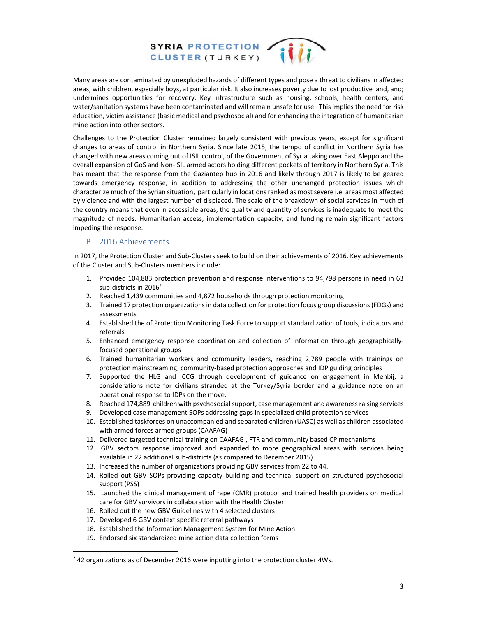## SYRIA PROTECTION THE



Many areas are contaminated by unexploded hazards of different types and pose a threat to civilians in affected areas, with children, especially boys, at particular risk. It also increases poverty due to lost productive land, and; undermines opportunities for recovery. Key infrastructure such as housing, schools, health centers, and water/sanitation systems have been contaminated and will remain unsafe for use. This implies the need for risk education, victim assistance (basic medical and psychosocial) and for enhancing the integration of humanitarian mine action into other sectors.

Challenges to the Protection Cluster remained largely consistent with previous years, except for significant changes to areas of control in Northern Syria. Since late 2015, the tempo of conflict in Northern Syria has changed with new areas coming out of ISIL control, of the Government of Syria taking over East Aleppo and the overall expansion of GoS and Non‐ISIL armed actors holding different pockets of territory in Northern Syria. This has meant that the response from the Gaziantep hub in 2016 and likely through 2017 is likely to be geared towards emergency response, in addition to addressing the other unchanged protection issues which characterize much of the Syrian situation, particularly in locationsranked as mostsevere i.e. areas most affected by violence and with the largest number of displaced. The scale of the breakdown of social services in much of the country means that even in accessible areas, the quality and quantity of services is inadequate to meet the magnitude of needs. Humanitarian access, implementation capacity, and funding remain significant factors impeding the response.

#### B. 2016 Achievements

In 2017, the Protection Cluster and Sub‐Clusters seek to build on their achievements of 2016. Key achievements of the Cluster and Sub‐Clusters members include:

- 1. Provided 104,883 protection prevention and response interventions to 94,798 persons in need in 63 sub-districts in 2016<sup>2</sup>
- 2. Reached 1,439 communities and 4,872 households through protection monitoring
- 3. Trained 17 protection organizations in data collection for protection focus group discussions (FDGs) and assessments
- 4. Established the of Protection Monitoring Task Force to support standardization of tools, indicators and referrals
- 5. Enhanced emergency response coordination and collection of information through geographicallyfocused operational groups
- 6. Trained humanitarian workers and community leaders, reaching 2,789 people with trainings on protection mainstreaming, community‐based protection approaches and IDP guiding principles
- 7. Supported the HLG and ICCG through development of guidance on engagement in Menbij, a considerations note for civilians stranded at the Turkey/Syria border and a guidance note on an operational response to IDPs on the move.
- 8. Reached 174,889 children with psychosocial support, case management and awareness raising services
- 9. Developed case management SOPs addressing gaps in specialized child protection services
- 10. Established taskforces on unaccompanied and separated children (UASC) as well as children associated with armed forces armed groups (CAAFAG)
- 11. Delivered targeted technical training on CAAFAG , FTR and community based CP mechanisms
- 12. GBV sectors response improved and expanded to more geographical areas with services being available in 22 additional sub‐districts (as compared to December 2015)
- 13. Increased the number of organizations providing GBV services from 22 to 44.
- 14. Rolled out GBV SOPs providing capacity building and technical support on structured psychosocial support (PSS)
- 15. Launched the clinical management of rape (CMR) protocol and trained health providers on medical care for GBV survivors in collaboration with the Health Cluster
- 16. Rolled out the new GBV Guidelines with 4 selected clusters
- 17. Developed 6 GBV context specific referral pathways

- 18. Established the Information Management System for Mine Action
- 19. Endorsed six standardized mine action data collection forms

 $242$  organizations as of December 2016 were inputting into the protection cluster 4Ws.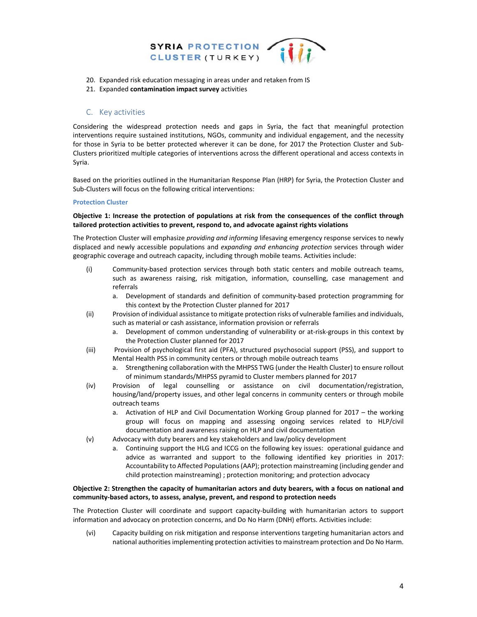



- 20. Expanded risk education messaging in areas under and retaken from IS
- 21. Expanded **contamination impact survey** activities

#### C. Key activities

Considering the widespread protection needs and gaps in Syria, the fact that meaningful protection interventions require sustained institutions, NGOs, community and individual engagement, and the necessity for those in Syria to be better protected wherever it can be done, for 2017 the Protection Cluster and Sub-Clusters prioritized multiple categories of interventions across the different operational and access contexts in Syria.

Based on the priorities outlined in the Humanitarian Response Plan (HRP) for Syria, the Protection Cluster and Sub-Clusters will focus on the following critical interventions:

#### **Protection Cluster**

#### **Objective 1: Increase the protection of populations at risk from the consequences of the conflict through tailored protection activities to prevent, respond to, and advocate against rights violations**

The Protection Cluster will emphasize *providing and informing* lifesaving emergency response services to newly displaced and newly accessible populations and *expanding and enhancing protection* services through wider geographic coverage and outreach capacity, including through mobile teams. Activities include:

- (i) Community‐based protection services through both static centers and mobile outreach teams, such as awareness raising, risk mitigation, information, counselling, case management and referrals
	- a. Development of standards and definition of community‐based protection programming for this context by the Protection Cluster planned for 2017
- (ii) Provision of individual assistance to mitigate protection risks of vulnerable families and individuals, such as material or cash assistance, information provision or referrals
	- a. Development of common understanding of vulnerability or at‐risk‐groups in this context by the Protection Cluster planned for 2017
- (iii) Provision of psychological first aid (PFA), structured psychosocial support (PSS), and support to Mental Health PSS in community centers or through mobile outreach teams
	- a. Strengthening collaboration with the MHPSS TWG (under the Health Cluster) to ensure rollout of minimum standards/MHPSS pyramid to Cluster members planned for 2017
- (iv) Provision of legal counselling or assistance on civil documentation/registration, housing/land/property issues, and other legal concerns in community centers or through mobile outreach teams
	- a. Activation of HLP and Civil Documentation Working Group planned for 2017 the working group will focus on mapping and assessing ongoing services related to HLP/civil documentation and awareness raising on HLP and civil documentation
- (v) Advocacy with duty bearers and key stakeholders and law/policy development
	- a. Continuing support the HLG and ICCG on the following key issues: operational guidance and advice as warranted and support to the following identified key priorities in 2017: Accountability to Affected Populations(AAP); protection mainstreaming (including gender and child protection mainstreaming) ; protection monitoring; and protection advocacy

#### Objective 2: Strengthen the capacity of humanitarian actors and duty bearers, with a focus on national and **community‐based actors, to assess, analyse, prevent, and respond to protection needs**

The Protection Cluster will coordinate and support capacity‐building with humanitarian actors to support information and advocacy on protection concerns, and Do No Harm (DNH) efforts. Activities include:

(vi) Capacity building on risk mitigation and response interventions targeting humanitarian actors and national authorities implementing protection activitiesto mainstream protection and Do No Harm.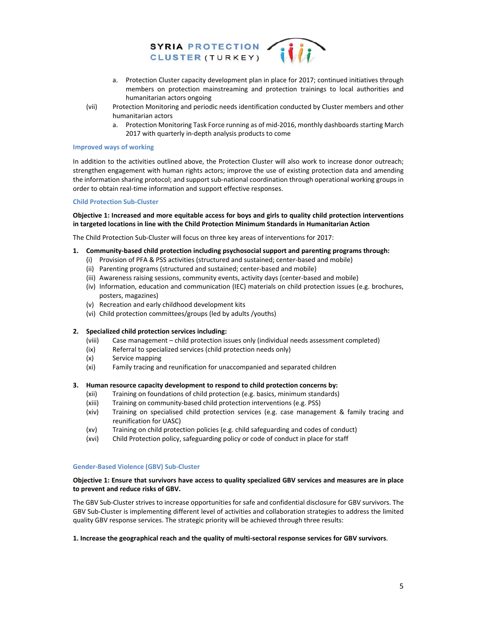



- a. Protection Cluster capacity development plan in place for 2017; continued initiatives through members on protection mainstreaming and protection trainings to local authorities and humanitarian actors ongoing
- (vii) Protection Monitoring and periodic needs identification conducted by Cluster members and other humanitarian actors
	- a. Protection Monitoring Task Force running as of mid-2016, monthly dashboards starting March 2017 with quarterly in‐depth analysis products to come

#### **Improved ways of working**

In addition to the activities outlined above, the Protection Cluster will also work to increase donor outreach; strengthen engagement with human rights actors; improve the use of existing protection data and amending the information sharing protocol; and support sub‐national coordination through operational working groups in order to obtain real-time information and support effective responses.

#### **Child Protection Sub‐Cluster**

#### **Objective 1: Increased and more equitable access for boys and girls to quality child protection interventions in targeted locations in line with the Child Protection Minimum Standards in Humanitarian Action**

The Child Protection Sub‐Cluster will focus on three key areas of interventions for 2017:

- **1. Community‐based child protection including psychosocial support and parenting programs through:**
	- (i) Provision of PFA & PSS activities (structured and sustained; center‐based and mobile)
	- (ii) Parenting programs (structured and sustained; center‐based and mobile)
	- (iii) Awareness raising sessions, community events, activity days (center‐based and mobile)
	- (iv) Information, education and communication (IEC) materials on child protection issues (e.g. brochures, posters, magazines)
	- (v) Recreation and early childhood development kits
	- (vi) Child protection committees/groups (led by adults /youths)

#### **2. Specialized child protection services including:**

- (viii) Case management child protection issues only (individual needs assessment completed)
- (ix) Referral to specialized services (child protection needs only)
- (x) Service mapping
- (xi) Family tracing and reunification for unaccompanied and separated children

#### **3. Human resource capacity development to respond to child protection concerns by:**

- (xii) Training on foundations of child protection (e.g. basics, minimum standards)
- (xiii) Training on community‐based child protection interventions (e.g. PSS)
- (xiv) Training on specialised child protection services (e.g. case management & family tracing and reunification for UASC)
- (xv) Training on child protection policies (e.g. child safeguarding and codes of conduct)
- (xvi) Child Protection policy, safeguarding policy or code of conduct in place for staff

#### **Gender‐Based Violence (GBV) Sub‐Cluster**

#### Objective 1: Ensure that survivors have access to quality specialized GBV services and measures are in place **to prevent and reduce risks of GBV.**

The GBV Sub‐Cluster strives to increase opportunities for safe and confidential disclosure for GBV survivors. The GBV Sub‐Cluster is implementing different level of activities and collaboration strategies to address the limited quality GBV response services. The strategic priority will be achieved through three results:

#### **1. Increase the geographical reach and the quality of multi‐sectoral response services for GBV survivors**.